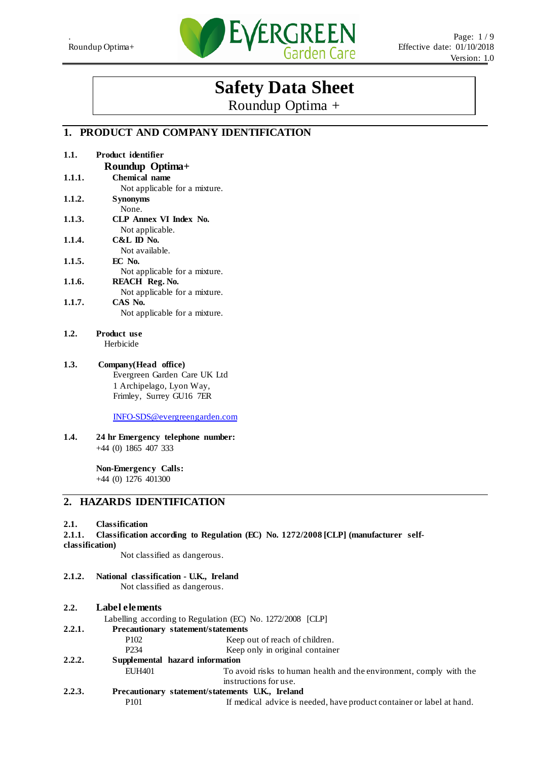

# **Safety Data Sheet**

Roundup Optima +

# **1. PRODUCT AND COMPANY IDENTIFICATION**

| 1.1.   | Product identifier            |
|--------|-------------------------------|
|        | Roundup Optima+               |
| 1.1.1. | <b>Chemical name</b>          |
|        | Not applicable for a mixture. |
| 1.1.2. | <b>Synonyms</b>               |
|        | None.                         |
| 1.1.3. | <b>CLP Annex VI Index No.</b> |
|        | Not applicable.               |
| 1.1.4. | $C&L$ ID No.                  |
|        | Not available.                |
| 1.1.5. | EC No.                        |
|        | Not applicable for a mixture. |
| 1.1.6. | REACH Reg. No.                |
|        | Not applicable for a mixture. |
| 1.1.7. | CAS No.                       |
|        | Not applicable for a mixture. |

- **1.2. Product use** Herbicide
- **1.3. Company(Head office)** Evergreen Garden Care UK Ltd 1 Archipelago, Lyon Way, Frimley, Surrey GU16 7ER

[INFO-SDS@evergreengarden.com](mailto:INFO-SDS@evergreengarden.com)

**1.4. 24 hr Emergency telephone number:** +44 (0) 1865 407 333

> **Non-Emergency Calls:**  +44 (0) 1276 401300

### **2. HAZARDS IDENTIFICATION**

#### **2.1. Classification**

**2.1.1. Classification according to Regulation (EC) No. 1272/2008 [CLP] (manufacturer selfclassification)**

Not classified as dangerous.

- **2.1.2. National classification U.K., Ireland** Not classified as dangerous.
- **2.2. Label elements**
	- Labelling according to Regulation (EC) No. 1272/2008 [CLP]
- **2.2.1. Precautionary statement/statements**
	- P102 Keep out of reach of children.
	- P234 Keep only in original container
- **2.2.2. Supplemental hazard information**
	- EUH401 To avoid risks to human health and the environment, comply with the instructions for use.
- **2.2.3. Precautionary statement/statements U.K., Ireland** P101 If medical advice is needed, have product container or label at hand.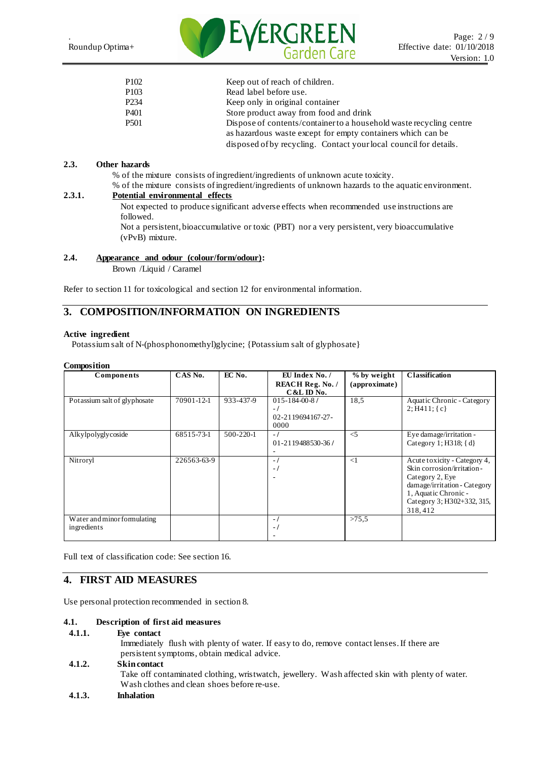

| P <sub>102</sub> | Keep out of reach of children.                                      |
|------------------|---------------------------------------------------------------------|
| P <sub>103</sub> | Read label before use.                                              |
| P <sub>234</sub> | Keep only in original container                                     |
| P <sub>401</sub> | Store product away from food and drink                              |
| P <sub>501</sub> | Dispose of contents/container to a household waste recycling centre |
|                  | as hazardous was te except for empty containers which can be        |
|                  | disposed of by recycling. Contact your local council for details.   |

#### **2.3. Other hazards**

% of the mixture consists of ingredient/ingredients of unknown acute toxicity.

% of the mixture consists of ingredient/ingredients of unknown hazards to the aquatic environment.

#### **2.3.1. Potential environmental effects**

Not expected to produce significant adverse effects when recommended use instructions are followed.

Not a persistent, bioaccumulative or toxic (PBT) nor a very persistent, very bioaccumulative (vPvB) mixture.

#### **2.4. Appearance and odour (colour/form/odour):**

Brown /Liquid / Caramel

Refer to section 11 for toxicological and section 12 for environmental information.

### **3. COMPOSITION/INFORMATION ON INGREDIENTS**

#### **Active ingredient**

Potassium salt of N-(phosphonomethyl)glycine; {Potassium salt of glyphosate}

#### **Composition**

| <b>Composition</b>           |             |                 |                          |               |                              |
|------------------------------|-------------|-----------------|--------------------------|---------------|------------------------------|
| Components                   | CAS No.     | EC No.          | EU Index No. /           | % by weight   | <b>Classification</b>        |
|                              |             |                 | <b>REACH Reg. No. /</b>  | (approximate) |                              |
|                              |             |                 | $C&L$ ID No.             |               |                              |
| Potassium salt of glyphosate | 70901-12-1  | 933-437-9       | $015 - 184 - 00 - 8$     | 18,5          | Aquatic Chronic - Category   |
|                              |             |                 | $-1$                     |               | 2; H411; c                   |
|                              |             |                 | 02-2119694167-27-        |               |                              |
|                              |             |                 | 0000                     |               |                              |
| Alkylpolyglycoside           | 68515-73-1  | $500 - 220 - 1$ | $-1$                     | $\leq$ 5      | Eye damage/irritation -      |
|                              |             |                 | 01-2119488530-36/        |               | Category 1; H $318$ ; {d}    |
|                              |             |                 | -                        |               |                              |
| Nitroryl                     | 226563-63-9 |                 | $\overline{a}$           | $\leq$ 1      | Acute toxicity - Category 4, |
|                              |             |                 | $\blacksquare$           |               | Skin corrosion/irritation-   |
|                              |             |                 | $\overline{\phantom{a}}$ |               | Category 2, Eye              |
|                              |             |                 |                          |               | damage/irritation - Category |
|                              |             |                 |                          |               | 1, Aquatic Chronic -         |
|                              |             |                 |                          |               | Category 3; H302+332, 315,   |
|                              |             |                 |                          |               | 318,412                      |
| Water and minor formulating  |             |                 | $-1$                     | >75.5         |                              |
| ingredients                  |             |                 | $\overline{\phantom{0}}$ |               |                              |
|                              |             |                 |                          |               |                              |

Full text of classification code: See section 16.

### **4. FIRST AID MEASURES**

Use personal protection recommended in section 8.

#### **4.1. Description of first aid measures**

#### **4.1.1. Eye contact**

Immediately flush with plenty of water. If easy to do, remove contact lenses.If there are persistent symptoms, obtain medical advice.

# **4.1.2. Skin contact** Take off contaminated clothing, wristwatch, jewellery. Wash affected skin with plenty of water. Wash clothes and clean shoes before re-use.

**4.1.3. Inhalation**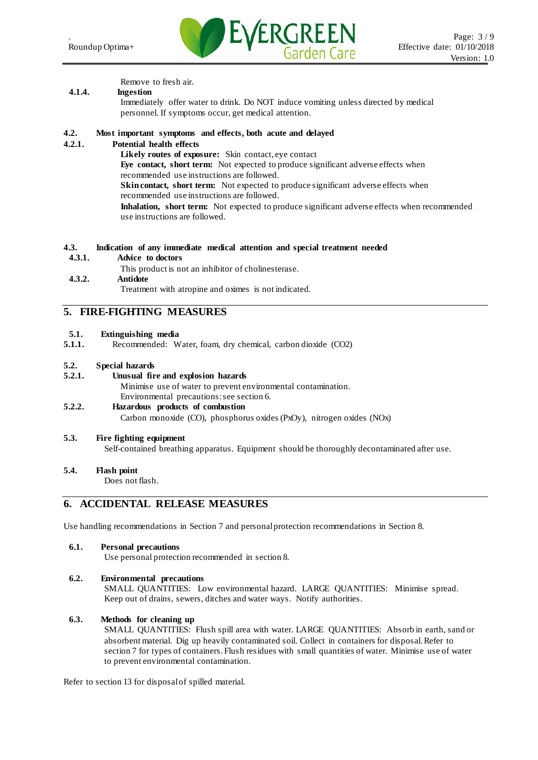

Remove to fresh air.

#### **4.1.4. Ingestion**

Immediately offer water to drink. Do NOT induce vomiting unless directed by medical personnel. If symptoms occur, get medical attention.

### **4.2. Most important symptoms and effects, both acute and delayed**

#### **4.2.1. Potential health effects**

**Likely routes of exposure:** Skin contact, eye contact **Eye contact, short term:** Not expected to produce significant adverse effects when recommended use instructions are followed. **Skin contact, short term:** Not expected to produce significant adverse effects when recommended use instructions are followed. **Inhalation, short term:** Not expected to produce significant adverse effects when recommended use instructions are followed.

#### **4.3. Indication of any immediate medical attention and special treatment needed**

#### **4.3.1. Advice to doctors**

This product is not an inhibitor of cholinesterase.

# **4.3.2. Antidote**

Treatment with atropine and oximes is not indicated.

### **5. FIRE-FIGHTING MEASURES**

#### **5.1. Extinguishing media**

**5.1.1.** Recommended: Water, foam, dry chemical, carbon dioxide (CO2)

# **5.2. Special hazards**

#### **5.2.1. Unusual fire and explosion hazards**

Minimise use of water to prevent environmental contamination. Environmental precautions: see section 6.

#### **5.2.2. Hazardous products of combustion**

Carbon monoxide (CO), phosphorus oxides (PxOy), nitrogen oxides (NOx)

#### **5.3. Fire fighting equipment**

Self-contained breathing apparatus. Equipment should be thoroughly decontaminated after use.

#### **5.4. Flash point**

Does not flash.

## **6. ACCIDENTAL RELEASE MEASURES**

Use handling recommendations in Section 7 and personal protection recommendations in Section 8.

**6.1. Personal precautions**

Use personal protection recommended in section 8.

#### **6.2. Environmental precautions**

SMALL QUANTITIES: Low environmental hazard. LARGE QUANTITIES: Minimise spread. Keep out of drains, sewers, ditches and water ways. Notify authorities.

#### **6.3. Methods for cleaning up**

SMALL QUANTITIES: Flush spill area with water. LARGE QUANTITIES: Absorb in earth, sand or absorbent material. Dig up heavily contaminated soil. Collect in containers for disposal.Refer to section 7 for types of containers.Flush residues with small quantities of water. Minimise use of water to prevent environmental contamination.

Refer to section 13 for disposal of spilled material.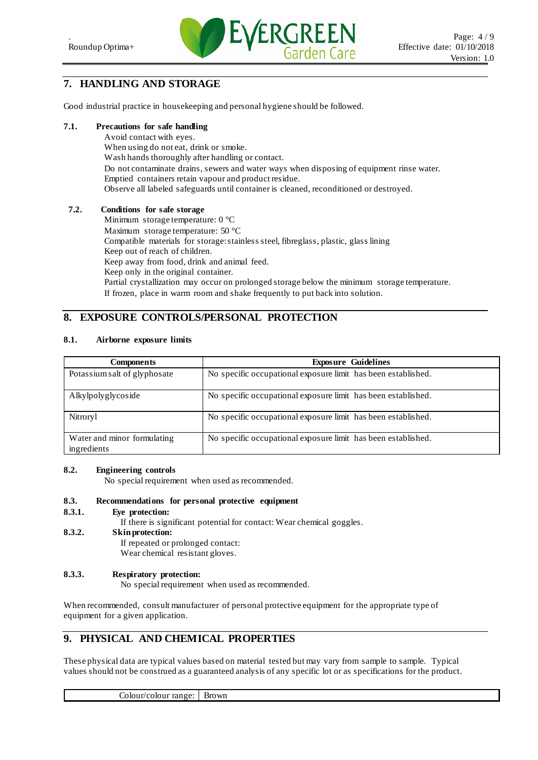

# **7. HANDLING AND STORAGE**

Good industrial practice in housekeeping and personal hygiene should be followed.

# **7.1. Precautions for safe handling**

Avoid contact with eyes. When using do not eat, drink or smoke. Wash hands thoroughly after handling or contact. Do not contaminate drains, sewers and water ways when disposing of equipment rinse water. Emptied containers retain vapour and product residue. Observe all labeled safeguards until container is cleaned, reconditioned or destroyed.

#### **7.2. Conditions for safe storage**

Minimum storage temperature: 0 °C Maximum storage temperature: 50 °C Compatible materials for storage: stainless steel, fibreglass, plastic, glass lining Keep out of reach of children. Keep away from food, drink and animal feed. Keep only in the original container. Partial crystallization may occur on prolonged storage below the minimum storage temperature. If frozen, place in warm room and shake frequently to put back into solution.

# **8. EXPOSURE CONTROLS/PERSONAL PROTECTION**

#### **8.1. Airborne exposure limits**

| <b>Components</b>                          | <b>Exposure Guidelines</b>                                    |
|--------------------------------------------|---------------------------------------------------------------|
| Potassium salt of glyphosate               | No specific occupational exposure limit has been established. |
| Alkylpolyglycoside                         | No specific occupational exposure limit has been established. |
| Nitroryl                                   | No specific occupational exposure limit has been established. |
| Water and minor formulating<br>ingredients | No specific occupational exposure limit has been established. |

#### **8.2. Engineering controls**

No special requirement when used as recommended.

#### **8.3. Recommendations for personal protective equipment**

#### **8.3.1. Eye protection:**

If there is significant potential for contact: Wear chemical goggles.

#### **8.3.2. Skin protection:**  If repeated or prolonged contact: Wear chemical resistant gloves.

#### **8.3.3. Respiratory protection:**

No special requirement when used as recommended.

When recommended, consult manufacturer of personal protective equipment for the appropriate type of equipment for a given application.

# **9. PHYSICAL AND CHEMICAL PROPERTIES**

These physical data are typical values based on material tested but may vary from sample to sample. Typical values should not be construed as a guaranteed analysis of any specific lot or as specifications for the product.

Colour/colour range: Brown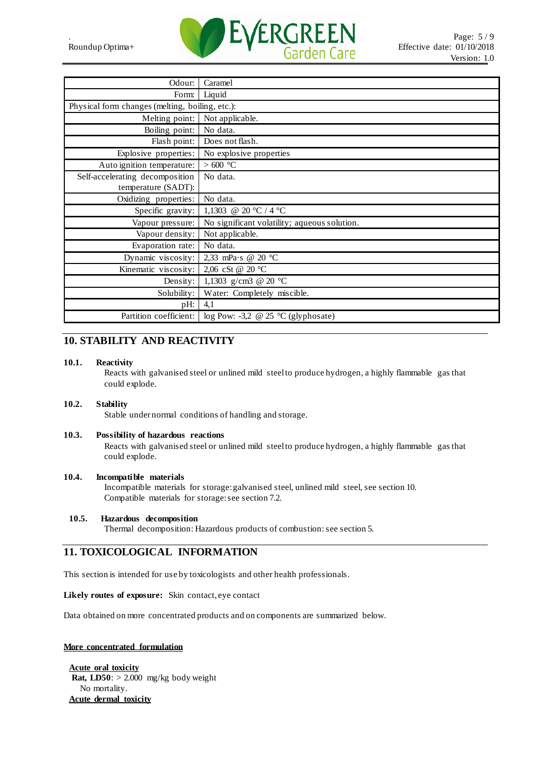

| Odour:                                          | Caramel                                      |
|-------------------------------------------------|----------------------------------------------|
| Form:                                           | Liquid                                       |
| Physical form changes (melting, boiling, etc.): |                                              |
| Melting point:                                  | Not applicable.                              |
| Boiling point:                                  | No data.                                     |
| Flash point:                                    | Does not flash.                              |
| Explosive properties:                           | No explosive properties                      |
| Auto ignition temperature:                      | $>600\text{ °C}$                             |
| Self-accelerating decomposition                 | No data.                                     |
| temperature (SADT):                             |                                              |
| Oxidizing properties:                           | No data.                                     |
| Specific gravity:                               | 1,1303 @ 20 °C / 4 °C                        |
| Vapour pressure:                                | No significant volatility; aqueous solution. |
| Vapour density:                                 | Not applicable.                              |
| Evaporation rate:                               | No data.                                     |
| Dynamic viscosity:                              | 2,33 mPa·s @ 20 °C                           |
| Kinematic viscosity:                            | 2,06 cSt @ 20 °C                             |
| Density:                                        | 1,1303 g/cm3 @ 20 °C                         |
| Solubility:                                     | Water: Completely miscible.                  |
| pH:                                             | 4,1                                          |
| Partition coefficient:                          | log Pow: -3,2 @ 25 $\degree$ C (glyphosate)  |

# **10. STABILITY AND REACTIVITY**

#### **10.1. Reactivity**

Reacts with galvanised steel or unlined mild steel to produce hydrogen, a highly flammable gas that could explode.

#### **10.2. Stability**

Stable under normal conditions of handling and storage.

#### **10.3. Possibility of hazardous reactions**

Reacts with galvanised steel or unlined mild steel to produce hydrogen, a highly flammable gas that could explode.

#### **10.4. Incompatible materials**

Incompatible materials for storage: galvanised steel, unlined mild steel, see section 10. Compatible materials for storage: see section 7.2.

#### **10.5. Hazardous decomposition**

Thermal decomposition: Hazardous products of combustion: see section 5.

# **11. TOXICOLOGICAL INFORMATION**

This section is intended for use by toxicologists and other health professionals.

#### **Likely routes of exposure:** Skin contact, eye contact

Data obtained on more concentrated products and on components are summarized below.

#### **More concentrated formulation**

**Acute oral toxicity Rat, LD50**:  $> 2.000$  mg/kg body weight No mortality. **Acute dermal toxicity**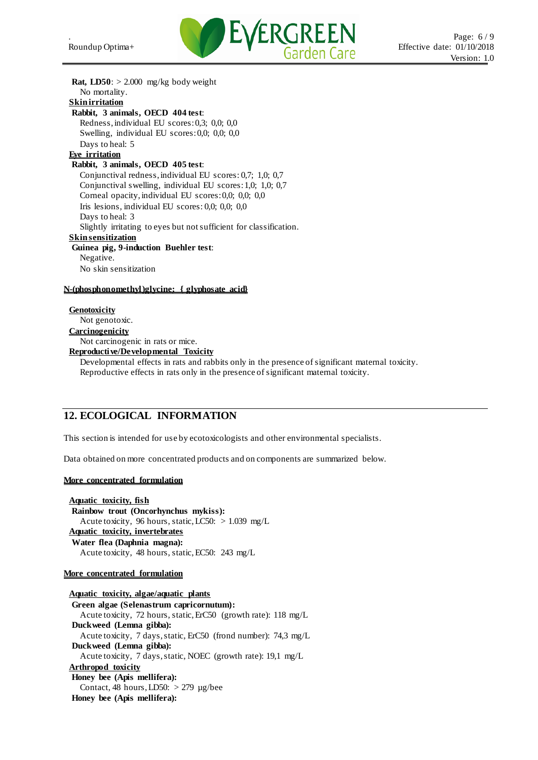

**Rat, LD50**: > 2.000 mg/kg body weight No mortality. **Skin irritation Rabbit, 3 animals, OECD 404 test**: Redness, individual EU scores: 0,3; 0,0; 0,0 Swelling, individual EU scores: 0,0; 0,0; 0,0 Days to heal: 5 **Eye irritation Rabbit, 3 animals, OECD 405 test**: Conjunctival redness, individual EU scores: 0,7; 1,0; 0,7 Conjunctival swelling, individual EU scores: 1,0; 1,0; 0,7 Corneal opacity, individual EU scores: 0,0; 0,0; 0,0 Iris lesions, individual EU scores: 0,0; 0,0; 0,0 Days to heal: 3 Slightly irritating to eyes but not sufficient for classification. **Skin sensitization Guinea pig, 9-induction Buehler test**: Negative. No skin sensitization **N-(phosphonomethyl)glycine; { glyphosate acid} Genotoxicity** Not genotoxic. **Carcinogenicity**

#### Not carcinogenic in rats or mice. **Reproductive/Developmental Toxicity**

Developmental effects in rats and rabbits only in the presence of significant maternal toxicity. Reproductive effects in rats only in the presence of significant maternal toxicity.

### **12. ECOLOGICAL INFORMATION**

This section is intended for use by ecotoxicologists and other environmental specialists.

Data obtained on more concentrated products and on components are summarized below.

#### **More concentrated formulation**

**Aquatic toxicity, fish Rainbow trout (Oncorhynchus mykiss):** Acute toxicity, 96 hours, static, LC50: > 1.039 mg/L **Aquatic toxicity, invertebrates Water flea (Daphnia magna):** Acute toxicity, 48 hours, static, EC50: 243 mg/L

#### **More concentrated formulation**

**Aquatic toxicity, algae/aquatic plants Green algae (Selenastrum capricornutum):** Acute toxicity, 72 hours, static, ErC50 (growth rate): 118 mg/L **Duckweed (Lemna gibba):** Acute toxicity, 7 days, static, ErC50 (frond number): 74,3 mg/L **Duckweed (Lemna gibba):** Acute toxicity, 7 days, static, NOEC (growth rate): 19,1 mg/L **Arthropod toxicity Honey bee (Apis mellifera):** Contact, 48 hours, LD50:  $> 279$  µg/bee **Honey bee (Apis mellifera):**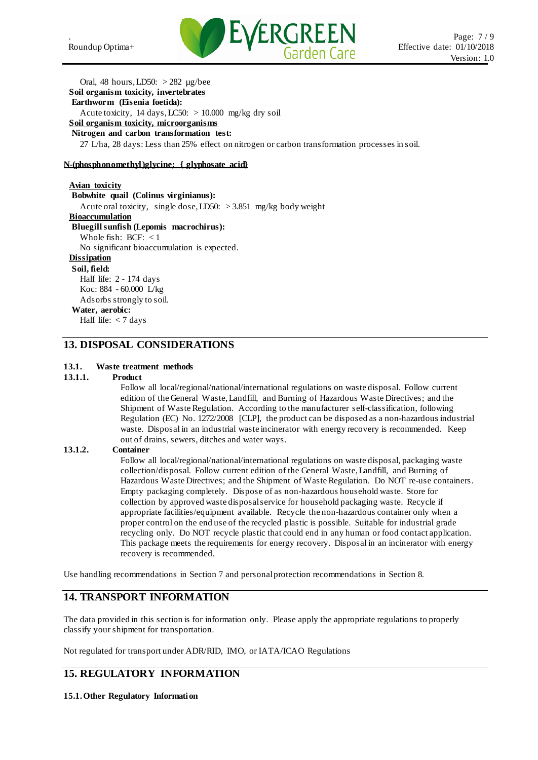

Oral, 48 hours, LD50: > 282 µg/bee **Soil organism toxicity, invertebrates**

# **Earthworm (Eisenia foetida):**

Acute toxicity, 14 days, LC50:  $> 10.000$  mg/kg dry soil

**Soil organism toxicity, microorganisms**

#### **Nitrogen and carbon transformation test:**

27 L/ha, 28 days: Less than 25% effect on nitrogen or carbon transformation processes in soil.

#### **N-(phosphonomethyl)glycine; { glyphosate acid}**

**Avian toxicity Bobwhite quail (Colinus virginianus):** Acute oral toxicity, single dose, LD50: > 3.851 mg/kg body weight **Bioaccumulation Bluegill sunfish (Lepomis macrochirus):** Whole fish: BCF: < 1 No significant bioaccumulation is expected. **Dissipation Soil, field:** Half life: 2 - 174 days Koc: 884 - 60.000 L/kg Adsorbs strongly to soil.

### **Water, aerobic:**

Half life: < 7 days

### **13. DISPOSAL CONSIDERATIONS**

#### **13.1. Waste treatment methods**

#### **13.1.1. Product**

Follow all local/regional/national/international regulations on waste disposal. Follow current edition of the General Waste, Landfill, and Burning of Hazardous Waste Directives; and the Shipment of Waste Regulation. According to the manufacturer self-classification, following Regulation (EC) No. 1272/2008 [CLP], the product can be disposed as a non-hazardous industrial waste. Disposal in an industrial waste incinerator with energy recovery is recommended. Keep out of drains, sewers, ditches and water ways.

#### **13.1.2. Container**

Follow all local/regional/national/international regulations on waste disposal, packaging waste collection/disposal. Follow current edition of the General Waste, Landfill, and Burning of Hazardous Waste Directives; and the Shipment of Waste Regulation. Do NOT re-use containers. Empty packaging completely. Dispose of as non-hazardous household waste. Store for collection by approved waste disposal service for household packaging waste. Recycle if appropriate facilities/equipment available. Recycle the non-hazardous container only when a proper control on the end use of the recycled plastic is possible. Suitable for industrial grade recycling only. Do NOT recycle plastic that could end in any human or food contact application. This package meets the requirements for energy recovery. Disposal in an incinerator with energy recovery is recommended.

Use handling recommendations in Section 7 and personal protection recommendations in Section 8.

# **14. TRANSPORT INFORMATION**

The data provided in this section is for information only. Please apply the appropriate regulations to properly classify your shipment for transportation.

Not regulated for transport under ADR/RID, IMO, or IATA/ICAO Regulations

# **15. REGULATORY INFORMATION**

**15.1.Other Regulatory Information**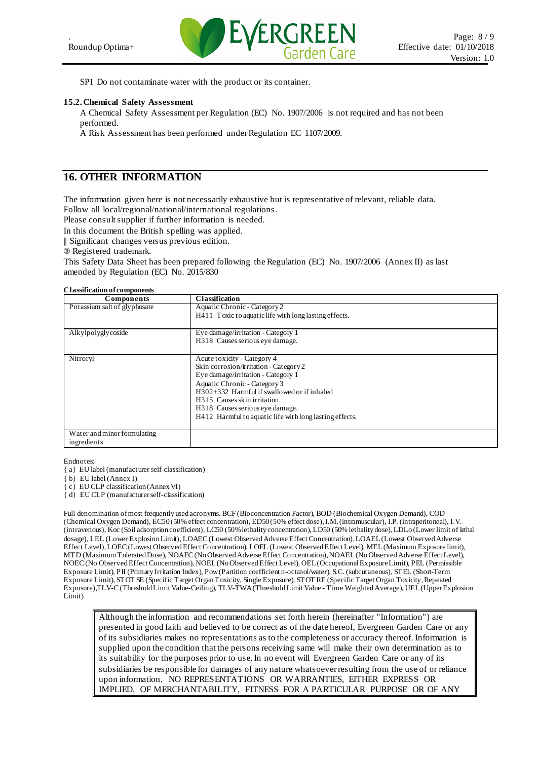

SP1 Do not contaminate water with the product or its container.

#### **15.2.Chemical Safety Assessment**

A Chemical Safety Assessment per Regulation (EC) No. 1907/2006 is not required and has not been performed.

A Risk Assessment has been performed under Regulation EC 1107/2009.

### **16. OTHER INFORMATION**

The information given here is not necessarily exhaustive but is representative of relevant, reliable data. Follow all local/regional/national/international regulations.

Please consult supplier if further information is needed.

In this document the British spelling was applied.

|| Significant changes versus previous edition.

® Registered trademark.

This Safety Data Sheet has been prepared following the Regulation (EC) No. 1907/2006 (Annex II) as last amended by Regulation (EC) No. 2015/830

#### **Classification of components**

| Components                   | <b>Classification</b>                                   |
|------------------------------|---------------------------------------------------------|
| Potassium salt of glyphosate | Aquatic Chronic - Category 2                            |
|                              | H411 Toxic to aquatic life with long lasting effects.   |
|                              |                                                         |
| Alkylpolyglycoside           | Eye damage/irritation - Category 1                      |
|                              | H318 Causes serious eye damage.                         |
|                              |                                                         |
| Nitroryl                     | Acute toxicity - Category 4                             |
|                              | Skin corrosion/irritation - Category 2                  |
|                              | Eye damage/irritation - Category 1                      |
|                              | Aquatic Chronic - Category 3                            |
|                              | H302+332 Harmful if swallowed or if inhaled             |
|                              | H315 Causes skin irritation.                            |
|                              | H <sub>3</sub> 18 Causes serious eye damage.            |
|                              | H412 Harmful to aquatic life with long lasting effects. |
|                              |                                                         |
| Water and minor formulating  |                                                         |
| ingredients                  |                                                         |

Endnotes:

{ a} EU label (manufacturer self-classification)

{ b} EU label (Annex I)

{ c} EU CLP classification (Annex VI)

{ d} EU CLP (manufacturer self-classification)

Full denomination of most frequently used acronyms. BCF (Bioconcentration Factor), BOD (Biochemical Oxygen Demand), COD (Chemical Oxygen Demand), EC50 (50% effect concentration), ED50 (50% effect dose), I.M. (intramuscular), I.P. (intraperitoneal), I.V. (intravenous), Koc (Soil adsorption coefficient), LC50 (50% lethality concentration), LD50 (50% lethality dose), LDLo (Lower limit of lethal dosage), LEL (Lower Explosion Limit), LOAEC (Lowest Observed Adverse Effect Concentration), LOAEL (Lowest Observed Adverse Effect Level), LOEC (Lowest Observed Effect Concentration), LOEL (Lowest Observed Effect Level), MEL (Maximum Exposure limit), MTD (Maximum Tolerated Dose), NOAEC (No Observed Adverse Effect Concentration), NOAEL (No Observed Adverse Effect Level), NOEC (No Observed Effect Concentration), NOEL (No Observed Effect Level), OEL (Occupational Exposure Limit), PEL (Permissible Exposure Limit), PII (Primary Irritation Index), Pow (Partition coefficient n-octanol/water), S.C. (subcutaneous), STEL (Short-Term Exposure Limit), STOT SE (Specific Target Organ Toxicity, Single Exposure), STOT RE (Specific Target Organ Toxicity, Repeated Exposure),TLV-C (Threshold Limit Value-Ceiling), TLV-TWA (Threshold Limit Value - Time Weighted Average), UEL (Upper Explosion Limit)

Although the information and recommendations set forth herein (hereinafter "Information") are presented in good faith and believed to be correct as of the date hereof, Evergreen Garden Care or any of its subsidiaries makes no representations as to the completeness or accuracy thereof. Information is supplied upon the condition that the persons receiving same will make their own determination as to its suitability for the purposes prior to use. In no event will Evergreen Garden Care or any of its subsidiaries be responsible for damages of any nature whatsoever resulting from the use of or reliance upon information. NO REPRESENTATIONS OR WARRANTIES, EITHER EXPRESS OR IMPLIED, OF MERCHANTABILITY, FITNESS FOR A PARTICULAR PURPOSE OR OF ANY